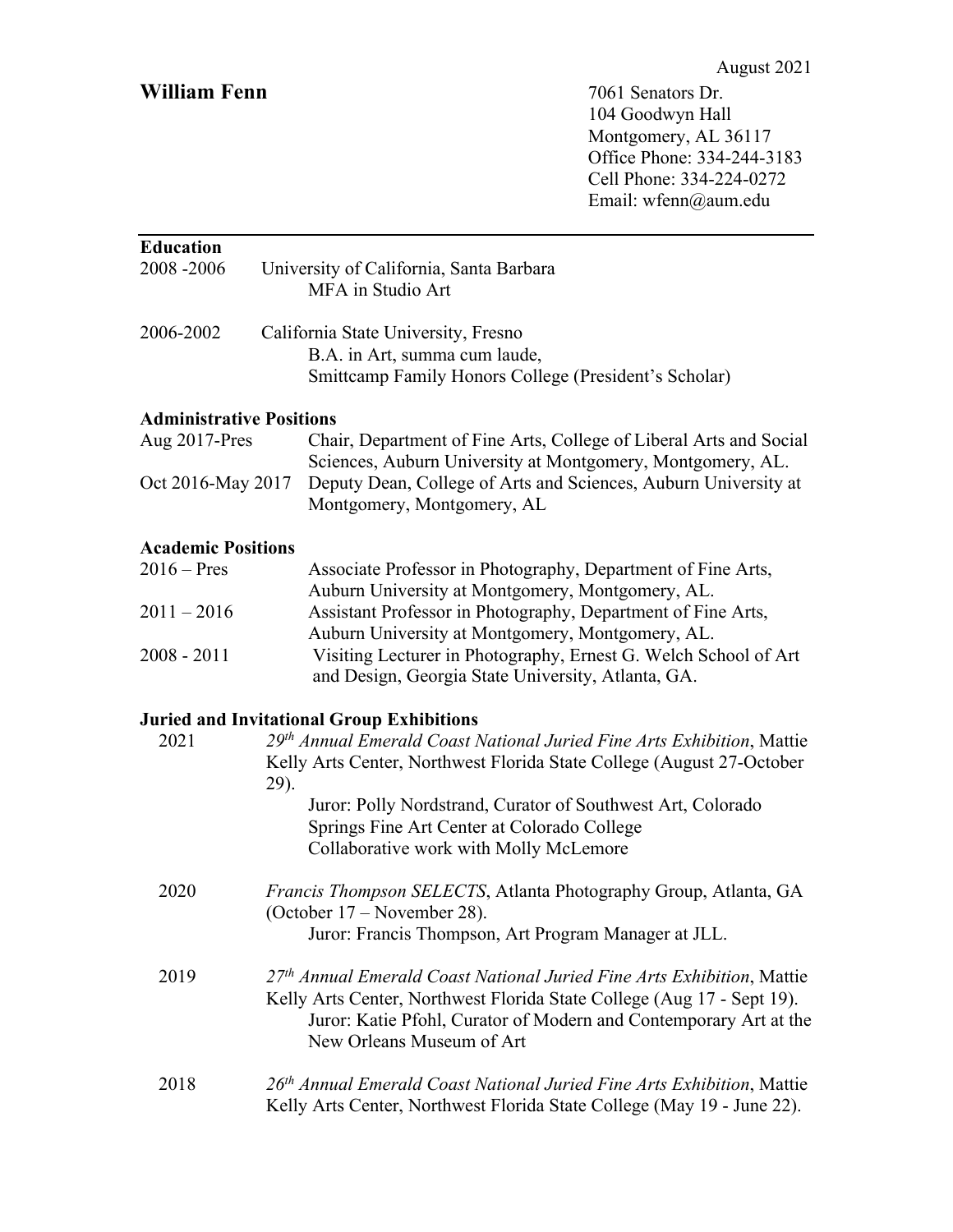## **William Fenn** 7061 Senators Dr.

104 Goodwyn Hall Montgomery, AL 36117 Office Phone: 334-244-3183 Cell Phone: 334-224-0272 Email: wfenn@aum.edu

| <b>Education</b><br>2008-2006   | University of California, Santa Barbara                                                                                                                                                                                                            |
|---------------------------------|----------------------------------------------------------------------------------------------------------------------------------------------------------------------------------------------------------------------------------------------------|
|                                 | MFA in Studio Art                                                                                                                                                                                                                                  |
| 2006-2002                       | California State University, Fresno<br>B.A. in Art, summa cum laude,<br>Smittcamp Family Honors College (President's Scholar)                                                                                                                      |
| <b>Administrative Positions</b> |                                                                                                                                                                                                                                                    |
| Aug 2017-Pres                   | Chair, Department of Fine Arts, College of Liberal Arts and Social<br>Sciences, Auburn University at Montgomery, Montgomery, AL.                                                                                                                   |
| Oct 2016-May 2017               | Deputy Dean, College of Arts and Sciences, Auburn University at<br>Montgomery, Montgomery, AL                                                                                                                                                      |
| <b>Academic Positions</b>       |                                                                                                                                                                                                                                                    |
| $2016 - Pres$                   | Associate Professor in Photography, Department of Fine Arts,<br>Auburn University at Montgomery, Montgomery, AL.                                                                                                                                   |
| $2011 - 2016$                   | Assistant Professor in Photography, Department of Fine Arts,<br>Auburn University at Montgomery, Montgomery, AL.                                                                                                                                   |
| $2008 - 2011$                   | Visiting Lecturer in Photography, Ernest G. Welch School of Art<br>and Design, Georgia State University, Atlanta, GA.                                                                                                                              |
|                                 | <b>Juried and Invitational Group Exhibitions</b>                                                                                                                                                                                                   |
| 2021                            | 29th Annual Emerald Coast National Juried Fine Arts Exhibition, Mattie<br>Kelly Arts Center, Northwest Florida State College (August 27-October<br>29).                                                                                            |
|                                 | Juror: Polly Nordstrand, Curator of Southwest Art, Colorado<br>Springs Fine Art Center at Colorado College<br>Collaborative work with Molly McLemore                                                                                               |
| 2020                            | Francis Thompson SELECTS, Atlanta Photography Group, Atlanta, GA<br>(October 17 – November 28).<br>Juror: Francis Thompson, Art Program Manager at JLL.                                                                                            |
|                                 |                                                                                                                                                                                                                                                    |
| 2019                            | 27th Annual Emerald Coast National Juried Fine Arts Exhibition, Mattie<br>Kelly Arts Center, Northwest Florida State College (Aug 17 - Sept 19).<br>Juror: Katie Pfohl, Curator of Modern and Contemporary Art at the<br>New Orleans Museum of Art |
| 2018                            | 26 <sup>th</sup> Annual Emerald Coast National Juried Fine Arts Exhibition, Mattie<br>Kelly Arts Center, Northwest Florida State College (May 19 - June 22).                                                                                       |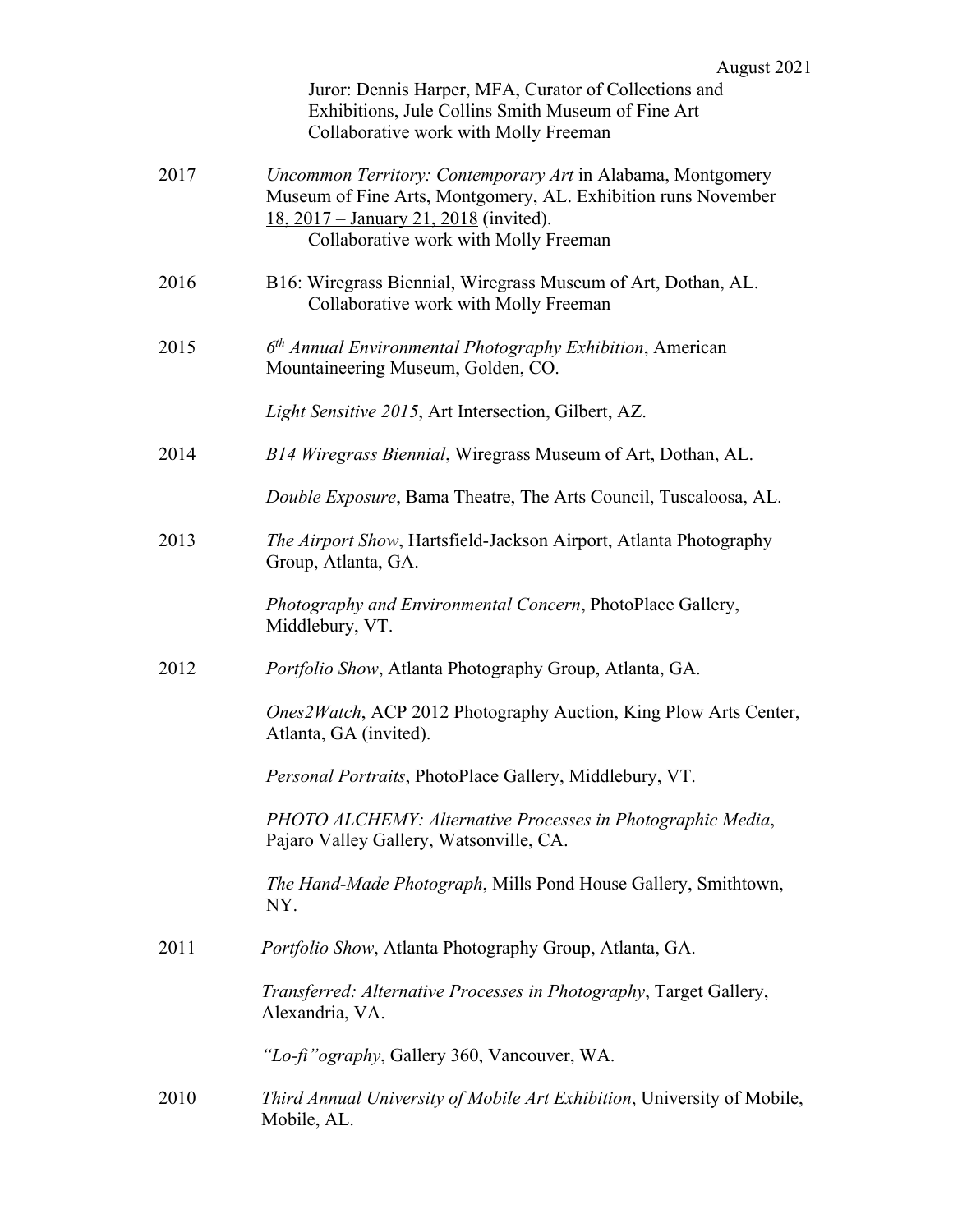| Juror: Dennis Harper, MFA, Curator of Collections and |  |
|-------------------------------------------------------|--|
| Exhibitions, Jule Collins Smith Museum of Fine Art    |  |
| Collaborative work with Molly Freeman                 |  |

| 2017 | Uncommon Territory: Contemporary Art in Alabama, Montgomery<br>Museum of Fine Arts, Montgomery, AL. Exhibition runs November<br><u>18, 2017 – January 21, 2018</u> (invited).<br>Collaborative work with Molly Freeman |
|------|------------------------------------------------------------------------------------------------------------------------------------------------------------------------------------------------------------------------|
| 2016 | B16: Wiregrass Biennial, Wiregrass Museum of Art, Dothan, AL.<br>Collaborative work with Molly Freeman                                                                                                                 |
| 2015 | $6th$ Annual Environmental Photography Exhibition, American<br>Mountaineering Museum, Golden, CO.                                                                                                                      |
|      | Light Sensitive 2015, Art Intersection, Gilbert, AZ.                                                                                                                                                                   |
| 2014 | B14 Wiregrass Biennial, Wiregrass Museum of Art, Dothan, AL.                                                                                                                                                           |
|      | Double Exposure, Bama Theatre, The Arts Council, Tuscaloosa, AL.                                                                                                                                                       |
| 2013 | The Airport Show, Hartsfield-Jackson Airport, Atlanta Photography<br>Group, Atlanta, GA.                                                                                                                               |
|      | Photography and Environmental Concern, PhotoPlace Gallery,<br>Middlebury, VT.                                                                                                                                          |
| 2012 | Portfolio Show, Atlanta Photography Group, Atlanta, GA.                                                                                                                                                                |
|      | <i>Ones2Watch</i> , ACP 2012 Photography Auction, King Plow Arts Center,<br>Atlanta, GA (invited).                                                                                                                     |
|      | Personal Portraits, PhotoPlace Gallery, Middlebury, VT.                                                                                                                                                                |
|      | PHOTO ALCHEMY: Alternative Processes in Photographic Media,<br>Pajaro Valley Gallery, Watsonville, CA.                                                                                                                 |
|      | The Hand-Made Photograph, Mills Pond House Gallery, Smithtown,<br>NY.                                                                                                                                                  |
| 2011 | Portfolio Show, Atlanta Photography Group, Atlanta, GA.                                                                                                                                                                |
|      | Transferred: Alternative Processes in Photography, Target Gallery,<br>Alexandria, VA.                                                                                                                                  |
|      | "Lo-fi" ography, Gallery 360, Vancouver, WA.                                                                                                                                                                           |
| 2010 | Third Annual University of Mobile Art Exhibition, University of Mobile,<br>Mobile, AL.                                                                                                                                 |